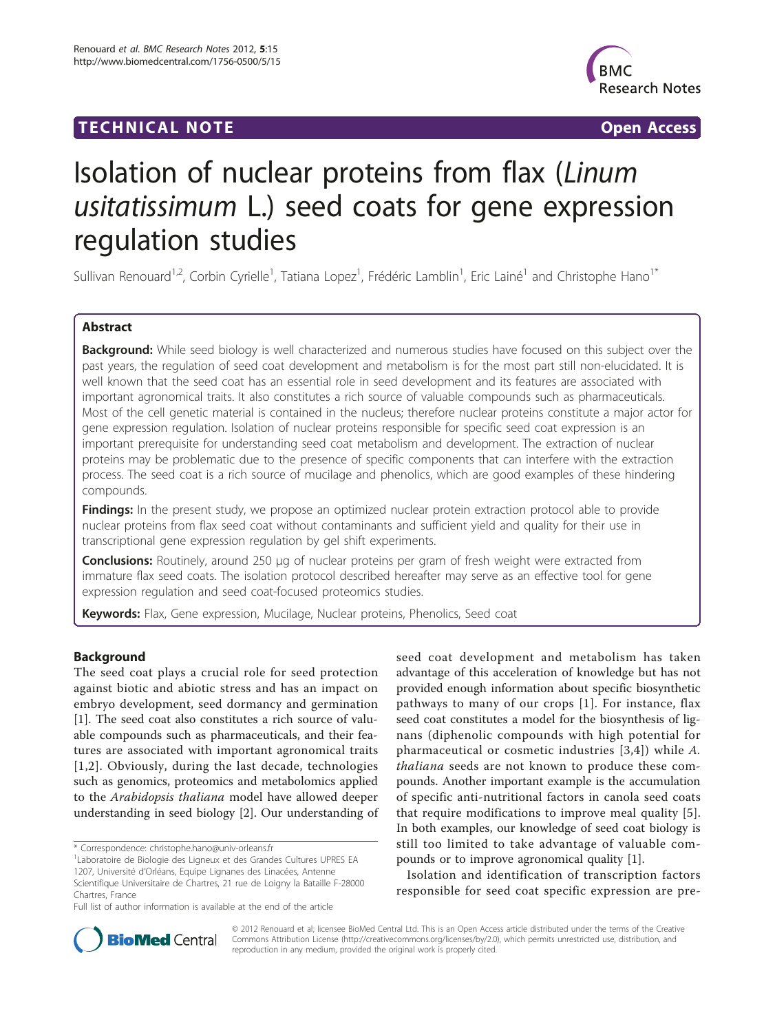# TECHNICAL NOTE **TECHNICAL NOTE**



# Isolation of nuclear proteins from flax (Linum usitatissimum L.) seed coats for gene expression regulation studies

Sullivan Renouard<sup>1,2</sup>, Corbin Cyrielle<sup>1</sup>, Tatiana Lopez<sup>1</sup>, Frédéric Lamblin<sup>1</sup>, Eric Lainé<sup>1</sup> and Christophe Hano<sup>1\*</sup>

# Abstract

**Background:** While seed biology is well characterized and numerous studies have focused on this subject over the past years, the regulation of seed coat development and metabolism is for the most part still non-elucidated. It is well known that the seed coat has an essential role in seed development and its features are associated with important agronomical traits. It also constitutes a rich source of valuable compounds such as pharmaceuticals. Most of the cell genetic material is contained in the nucleus; therefore nuclear proteins constitute a major actor for gene expression regulation. Isolation of nuclear proteins responsible for specific seed coat expression is an important prerequisite for understanding seed coat metabolism and development. The extraction of nuclear proteins may be problematic due to the presence of specific components that can interfere with the extraction process. The seed coat is a rich source of mucilage and phenolics, which are good examples of these hindering compounds.

Findings: In the present study, we propose an optimized nuclear protein extraction protocol able to provide nuclear proteins from flax seed coat without contaminants and sufficient yield and quality for their use in transcriptional gene expression regulation by gel shift experiments.

Conclusions: Routinely, around 250 μg of nuclear proteins per gram of fresh weight were extracted from immature flax seed coats. The isolation protocol described hereafter may serve as an effective tool for gene expression regulation and seed coat-focused proteomics studies.

Keywords: Flax, Gene expression, Mucilage, Nuclear proteins, Phenolics, Seed coat

# Background

The seed coat plays a crucial role for seed protection against biotic and abiotic stress and has an impact on embryo development, seed dormancy and germination [[1\]](#page-6-0). The seed coat also constitutes a rich source of valuable compounds such as pharmaceuticals, and their features are associated with important agronomical traits [[1](#page-6-0),[2](#page-6-0)]. Obviously, during the last decade, technologies such as genomics, proteomics and metabolomics applied to the Arabidopsis thaliana model have allowed deeper understanding in seed biology [\[2\]](#page-6-0). Our understanding of seed coat development and metabolism has taken advantage of this acceleration of knowledge but has not provided enough information about specific biosynthetic pathways to many of our crops [[1\]](#page-6-0). For instance, flax seed coat constitutes a model for the biosynthesis of lignans (diphenolic compounds with high potential for pharmaceutical or cosmetic industries [[3,4](#page-6-0)]) while A. thaliana seeds are not known to produce these compounds. Another important example is the accumulation of specific anti-nutritional factors in canola seed coats that require modifications to improve meal quality [[5](#page-6-0)]. In both examples, our knowledge of seed coat biology is still too limited to take advantage of valuable compounds or to improve agronomical quality [\[1](#page-6-0)].

Isolation and identification of transcription factors responsible for seed coat specific expression are pre-



© 2012 Renouard et al; licensee BioMed Central Ltd. This is an Open Access article distributed under the terms of the Creative Commons Attribution License [\(http://creativecommons.org/licenses/by/2.0](http://creativecommons.org/licenses/by/2.0)), which permits unrestricted use, distribution, and reproduction in any medium, provided the original work is properly cited.

<sup>\*</sup> Correspondence: [christophe.hano@univ-orleans.fr](mailto:christophe.hano@univ-orleans.fr)

<sup>&</sup>lt;sup>1</sup> Laboratoire de Biologie des Ligneux et des Grandes Cultures UPRES EA 1207, Université d'Orléans, Equipe Lignanes des Linacées, Antenne

Scientifique Universitaire de Chartres, 21 rue de Loigny la Bataille F-28000 Chartres, France

Full list of author information is available at the end of the article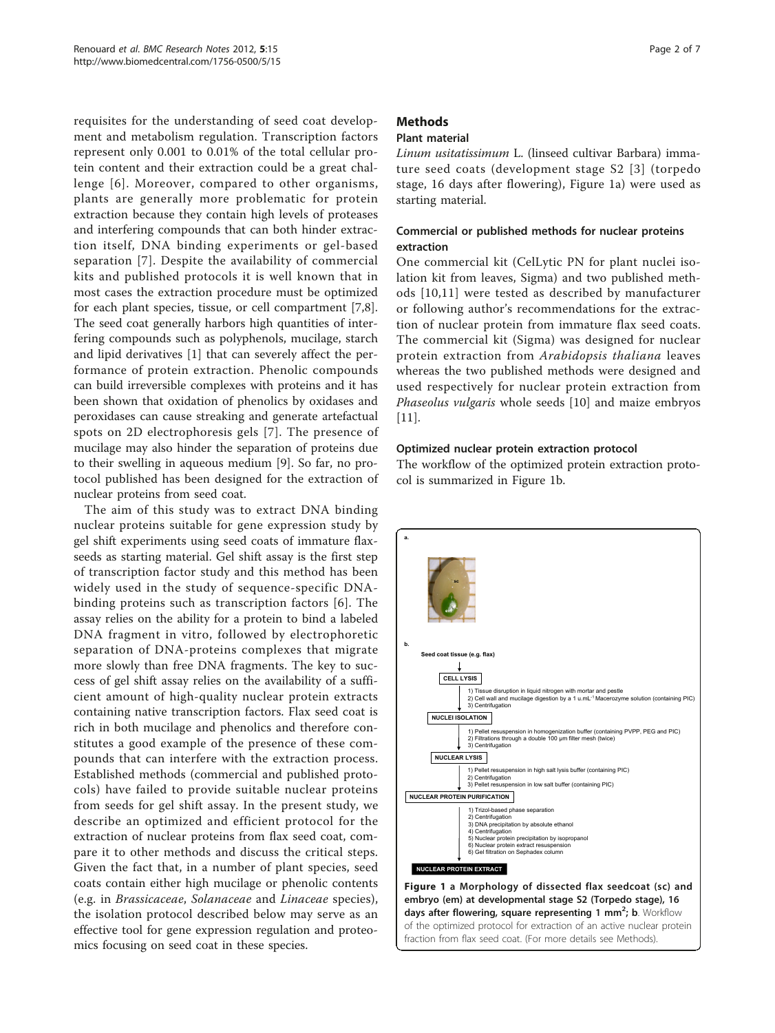<span id="page-1-0"></span>requisites for the understanding of seed coat development and metabolism regulation. Transcription factors represent only 0.001 to 0.01% of the total cellular protein content and their extraction could be a great challenge [[6](#page-6-0)]. Moreover, compared to other organisms, plants are generally more problematic for protein extraction because they contain high levels of proteases and interfering compounds that can both hinder extraction itself, DNA binding experiments or gel-based separation [[7](#page-6-0)]. Despite the availability of commercial kits and published protocols it is well known that in most cases the extraction procedure must be optimized for each plant species, tissue, or cell compartment [\[7,8](#page-6-0)]. The seed coat generally harbors high quantities of interfering compounds such as polyphenols, mucilage, starch and lipid derivatives [[1\]](#page-6-0) that can severely affect the performance of protein extraction. Phenolic compounds can build irreversible complexes with proteins and it has been shown that oxidation of phenolics by oxidases and peroxidases can cause streaking and generate artefactual spots on 2D electrophoresis gels [[7](#page-6-0)]. The presence of mucilage may also hinder the separation of proteins due to their swelling in aqueous medium [[9\]](#page-6-0). So far, no protocol published has been designed for the extraction of nuclear proteins from seed coat.

The aim of this study was to extract DNA binding nuclear proteins suitable for gene expression study by gel shift experiments using seed coats of immature flaxseeds as starting material. Gel shift assay is the first step of transcription factor study and this method has been widely used in the study of sequence-specific DNAbinding proteins such as transcription factors [[6\]](#page-6-0). The assay relies on the ability for a protein to bind a labeled DNA fragment in vitro, followed by electrophoretic separation of DNA-proteins complexes that migrate more slowly than free DNA fragments. The key to success of gel shift assay relies on the availability of a sufficient amount of high-quality nuclear protein extracts containing native transcription factors. Flax seed coat is rich in both mucilage and phenolics and therefore constitutes a good example of the presence of these compounds that can interfere with the extraction process. Established methods (commercial and published protocols) have failed to provide suitable nuclear proteins from seeds for gel shift assay. In the present study, we describe an optimized and efficient protocol for the extraction of nuclear proteins from flax seed coat, compare it to other methods and discuss the critical steps. Given the fact that, in a number of plant species, seed coats contain either high mucilage or phenolic contents (e.g. in Brassicaceae, Solanaceae and Linaceae species), the isolation protocol described below may serve as an effective tool for gene expression regulation and proteomics focusing on seed coat in these species.

# Methods

## Plant material

Linum usitatissimum L. (linseed cultivar Barbara) immature seed coats (development stage S2 [[3\]](#page-6-0) (torpedo stage, 16 days after flowering), Figure 1a) were used as starting material.

## Commercial or published methods for nuclear proteins extraction

One commercial kit (CelLytic PN for plant nuclei isolation kit from leaves, Sigma) and two published methods [[10,11\]](#page-6-0) were tested as described by manufacturer or following author's recommendations for the extraction of nuclear protein from immature flax seed coats. The commercial kit (Sigma) was designed for nuclear protein extraction from Arabidopsis thaliana leaves whereas the two published methods were designed and used respectively for nuclear protein extraction from Phaseolus vulgaris whole seeds [[10\]](#page-6-0) and maize embryos [[11\]](#page-6-0).

#### Optimized nuclear protein extraction protocol

The workflow of the optimized protein extraction protocol is summarized in Figure 1b.



days after flowering, square representing 1 mm<sup>2</sup>; b. Workflow of the optimized protocol for extraction of an active nuclear protein fraction from flax seed coat. (For more details see Methods).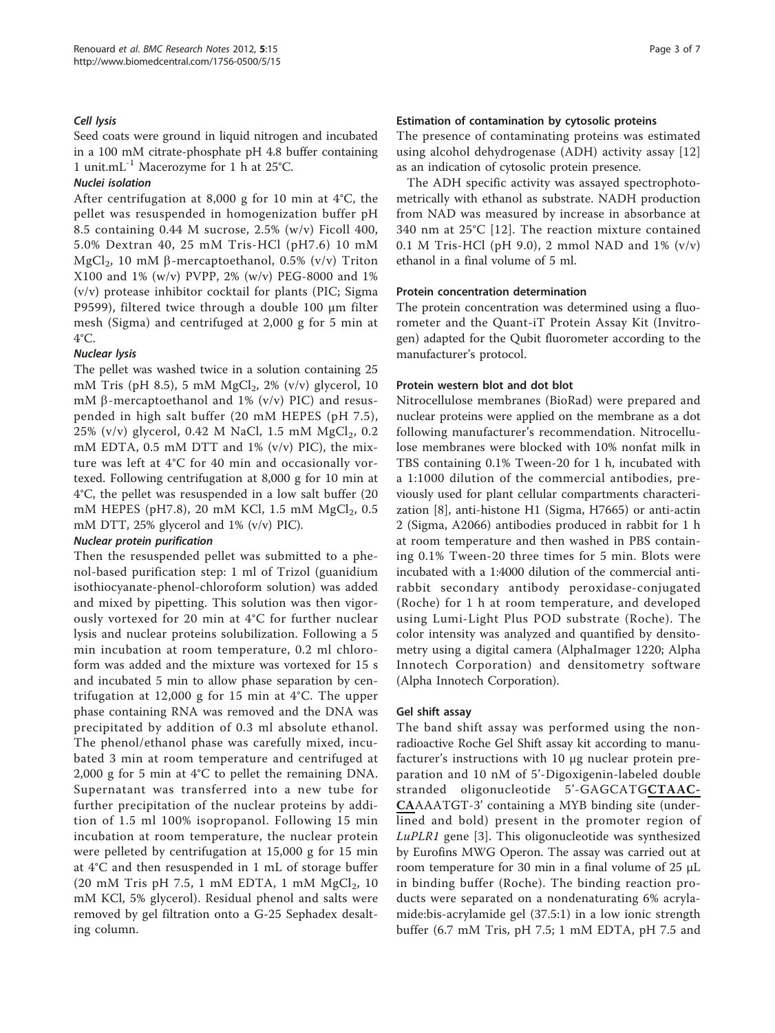#### Cell lysis

Seed coats were ground in liquid nitrogen and incubated in a 100 mM citrate-phosphate pH 4.8 buffer containing 1 unit.mL-1 Macerozyme for 1 h at 25°C.

#### Nuclei isolation

After centrifugation at 8,000 g for 10 min at 4°C, the pellet was resuspended in homogenization buffer pH 8.5 containing 0.44 M sucrose, 2.5% (w/v) Ficoll 400, 5.0% Dextran 40, 25 mM Tris-HCl (pH7.6) 10 mM MgCl<sub>2</sub>, 10 mM  $\beta$ -mercaptoethanol, 0.5% (v/v) Triton X100 and 1% (w/v) PVPP, 2% (w/v) PEG-8000 and 1% (v/v) protease inhibitor cocktail for plants (PIC; Sigma P9599), filtered twice through a double 100 μm filter mesh (Sigma) and centrifuged at 2,000 g for 5 min at 4°C.

#### Nuclear lysis

The pellet was washed twice in a solution containing 25 mM Tris (pH 8.5), 5 mM  $MgCl<sub>2</sub>$ , 2% (v/v) glycerol, 10 mM  $\beta$ -mercaptoethanol and 1% (v/v) PIC) and resuspended in high salt buffer (20 mM HEPES (pH 7.5), 25% (v/v) glycerol, 0.42 M NaCl, 1.5 mM  $MgCl_2$ , 0.2 mM EDTA, 0.5 mM DTT and 1% (v/v) PIC), the mixture was left at 4°C for 40 min and occasionally vortexed. Following centrifugation at 8,000 g for 10 min at 4°C, the pellet was resuspended in a low salt buffer (20 mM HEPES (pH7.8), 20 mM KCl, 1.5 mM  $MgCl_2$ , 0.5 mM DTT, 25% glycerol and 1% (v/v) PIC).

#### Nuclear protein purification

Then the resuspended pellet was submitted to a phenol-based purification step: 1 ml of Trizol (guanidium isothiocyanate-phenol-chloroform solution) was added and mixed by pipetting. This solution was then vigorously vortexed for 20 min at 4°C for further nuclear lysis and nuclear proteins solubilization. Following a 5 min incubation at room temperature, 0.2 ml chloroform was added and the mixture was vortexed for 15 s and incubated 5 min to allow phase separation by centrifugation at 12,000 g for 15 min at 4°C. The upper phase containing RNA was removed and the DNA was precipitated by addition of 0.3 ml absolute ethanol. The phenol/ethanol phase was carefully mixed, incubated 3 min at room temperature and centrifuged at 2,000 g for 5 min at 4°C to pellet the remaining DNA. Supernatant was transferred into a new tube for further precipitation of the nuclear proteins by addition of 1.5 ml 100% isopropanol. Following 15 min incubation at room temperature, the nuclear protein were pelleted by centrifugation at 15,000 g for 15 min at 4°C and then resuspended in 1 mL of storage buffer  $(20 \text{ mM Tris pH } 7.5, 1 \text{ mM EDTA}, 1 \text{ mM MgCl}_2, 10)$ mM KCl, 5% glycerol). Residual phenol and salts were removed by gel filtration onto a G-25 Sephadex desalting column.

#### Estimation of contamination by cytosolic proteins

The presence of contaminating proteins was estimated using alcohol dehydrogenase (ADH) activity assay [\[12](#page-6-0)] as an indication of cytosolic protein presence.

The ADH specific activity was assayed spectrophotometrically with ethanol as substrate. NADH production from NAD was measured by increase in absorbance at 340 nm at 25°C [[12\]](#page-6-0). The reaction mixture contained 0.1 M Tris-HCl (pH 9.0), 2 mmol NAD and 1% (v/v) ethanol in a final volume of 5 ml.

#### Protein concentration determination

The protein concentration was determined using a fluorometer and the Quant-iT Protein Assay Kit (Invitrogen) adapted for the Qubit fluorometer according to the manufacturer's protocol.

#### Protein western blot and dot blot

Nitrocellulose membranes (BioRad) were prepared and nuclear proteins were applied on the membrane as a dot following manufacturer's recommendation. Nitrocellulose membranes were blocked with 10% nonfat milk in TBS containing 0.1% Tween-20 for 1 h, incubated with a 1:1000 dilution of the commercial antibodies, previously used for plant cellular compartments characterization [[8\]](#page-6-0), anti-histone H1 (Sigma, H7665) or anti-actin 2 (Sigma, A2066) antibodies produced in rabbit for 1 h at room temperature and then washed in PBS containing 0.1% Tween-20 three times for 5 min. Blots were incubated with a 1:4000 dilution of the commercial antirabbit secondary antibody peroxidase-conjugated (Roche) for 1 h at room temperature, and developed using Lumi-Light Plus POD substrate (Roche). The color intensity was analyzed and quantified by densitometry using a digital camera (AlphaImager 1220; Alpha Innotech Corporation) and densitometry software (Alpha Innotech Corporation).

# Gel shift assay

The band shift assay was performed using the nonradioactive Roche Gel Shift assay kit according to manufacturer's instructions with 10 μg nuclear protein preparation and 10 nM of 5'-Digoxigenin-labeled double stranded oligonucleotide 5'-GAGCATGCTAAC-CAAAATGT-3' containing a MYB binding site (underlined and bold) present in the promoter region of LuPLR1 gene [\[3](#page-6-0)]. This oligonucleotide was synthesized by Eurofins MWG Operon. The assay was carried out at room temperature for 30 min in a final volume of 25 μL in binding buffer (Roche). The binding reaction products were separated on a nondenaturating 6% acrylamide:bis-acrylamide gel (37.5:1) in a low ionic strength buffer (6.7 mM Tris, pH 7.5; 1 mM EDTA, pH 7.5 and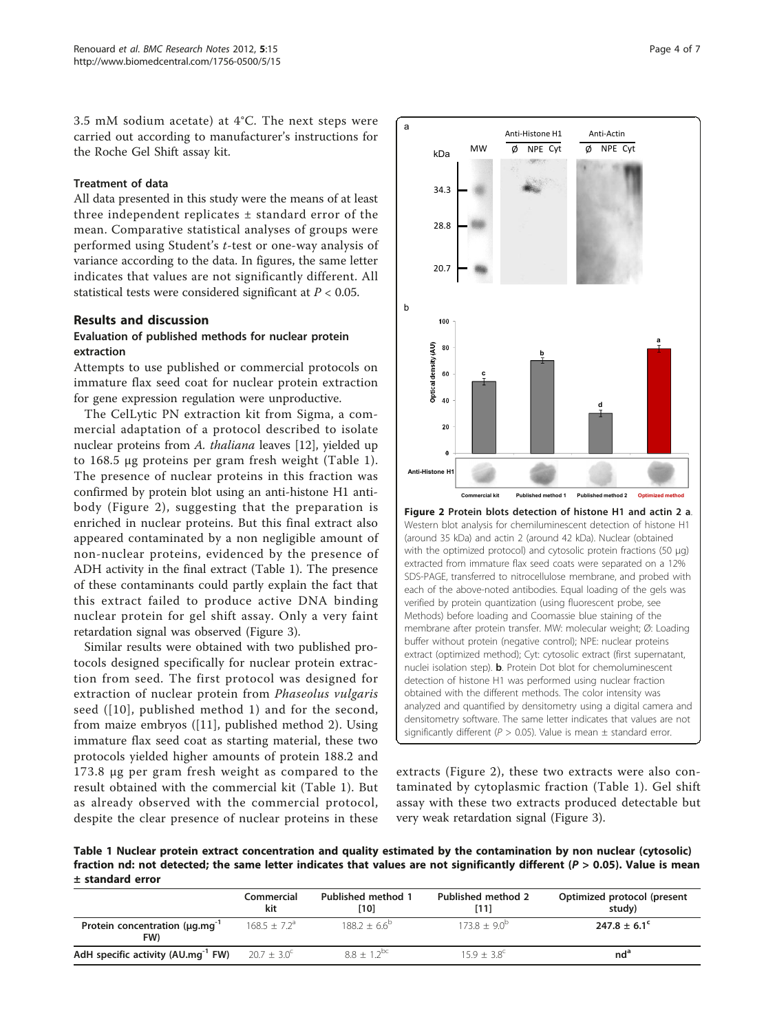<span id="page-3-0"></span>3.5 mM sodium acetate) at 4°C. The next steps were carried out according to manufacturer's instructions for the Roche Gel Shift assay kit.

#### Treatment of data

All data presented in this study were the means of at least three independent replicates ± standard error of the mean. Comparative statistical analyses of groups were performed using Student's t-test or one-way analysis of variance according to the data. In figures, the same letter indicates that values are not significantly different. All statistical tests were considered significant at  $P < 0.05$ .

#### Results and discussion

#### Evaluation of published methods for nuclear protein extraction

Attempts to use published or commercial protocols on immature flax seed coat for nuclear protein extraction for gene expression regulation were unproductive.

The CelLytic PN extraction kit from Sigma, a commercial adaptation of a protocol described to isolate nuclear proteins from A. thaliana leaves [[12\]](#page-6-0), yielded up to 168.5 μg proteins per gram fresh weight (Table 1). The presence of nuclear proteins in this fraction was confirmed by protein blot using an anti-histone H1 antibody (Figure 2), suggesting that the preparation is enriched in nuclear proteins. But this final extract also appeared contaminated by a non negligible amount of non-nuclear proteins, evidenced by the presence of ADH activity in the final extract (Table 1). The presence of these contaminants could partly explain the fact that this extract failed to produce active DNA binding nuclear protein for gel shift assay. Only a very faint retardation signal was observed (Figure [3\)](#page-4-0).

Similar results were obtained with two published protocols designed specifically for nuclear protein extraction from seed. The first protocol was designed for extraction of nuclear protein from Phaseolus vulgaris seed ([[10](#page-6-0)], published method 1) and for the second, from maize embryos ([[11\]](#page-6-0), published method 2). Using immature flax seed coat as starting material, these two protocols yielded higher amounts of protein 188.2 and 173.8 μg per gram fresh weight as compared to the result obtained with the commercial kit (Table 1). But as already observed with the commercial protocol, despite the clear presence of nuclear proteins in these



extracts (Figure 2), these two extracts were also contaminated by cytoplasmic fraction (Table 1). Gel shift assay with these two extracts produced detectable but very weak retardation signal (Figure [3](#page-4-0)).

Table 1 Nuclear protein extract concentration and quality estimated by the contamination by non nuclear (cytosolic) fraction nd: not detected; the same letter indicates that values are not significantly different ( $P > 0.05$ ). Value is mean ± standard error

|                                                   | Commercial<br>kit    | <b>Published method 1</b><br>[10] | Published method 2<br>[11] | Optimized protocol (present<br>study) |
|---------------------------------------------------|----------------------|-----------------------------------|----------------------------|---------------------------------------|
| Protein concentration (µq.mq <sup>-1</sup><br>FW) | $168.5 + 7.2a$       | $188.2 + 6.6^{\circ}$             | $173.8 + 9.0^{b}$          | $247.8 \pm 6.1^{\circ}$               |
| AdH specific activity (AU.mg <sup>-1</sup> FW)    | $20.7 + 3.0^{\circ}$ | $88 + 12^{bc}$                    | $159 + 38^{\circ}$         | $nd^a$                                |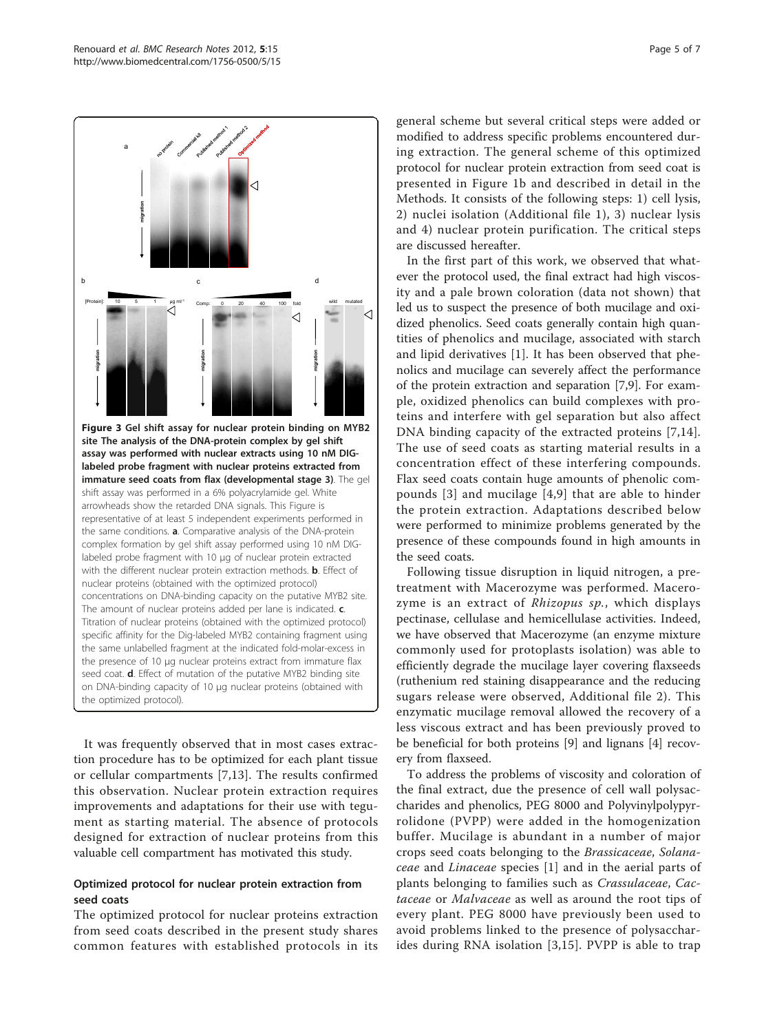<span id="page-4-0"></span>

It was frequently observed that in most cases extraction procedure has to be optimized for each plant tissue or cellular compartments [[7,13\]](#page-6-0). The results confirmed this observation. Nuclear protein extraction requires improvements and adaptations for their use with tegument as starting material. The absence of protocols designed for extraction of nuclear proteins from this valuable cell compartment has motivated this study.

#### Optimized protocol for nuclear protein extraction from seed coats

The optimized protocol for nuclear proteins extraction from seed coats described in the present study shares common features with established protocols in its

general scheme but several critical steps were added or modified to address specific problems encountered during extraction. The general scheme of this optimized protocol for nuclear protein extraction from seed coat is presented in Figure [1b](#page-1-0) and described in detail in the Methods. It consists of the following steps: 1) cell lysis, 2) nuclei isolation (Additional file [1](#page-5-0)), 3) nuclear lysis and 4) nuclear protein purification. The critical steps are discussed hereafter.

In the first part of this work, we observed that whatever the protocol used, the final extract had high viscosity and a pale brown coloration (data not shown) that led us to suspect the presence of both mucilage and oxidized phenolics. Seed coats generally contain high quantities of phenolics and mucilage, associated with starch and lipid derivatives [[1\]](#page-6-0). It has been observed that phenolics and mucilage can severely affect the performance of the protein extraction and separation [[7,9\]](#page-6-0). For example, oxidized phenolics can build complexes with proteins and interfere with gel separation but also affect DNA binding capacity of the extracted proteins [[7,14](#page-6-0)]. The use of seed coats as starting material results in a concentration effect of these interfering compounds. Flax seed coats contain huge amounts of phenolic compounds [[3](#page-6-0)] and mucilage [[4](#page-6-0),[9](#page-6-0)] that are able to hinder the protein extraction. Adaptations described below were performed to minimize problems generated by the presence of these compounds found in high amounts in the seed coats.

Following tissue disruption in liquid nitrogen, a pretreatment with Macerozyme was performed. Macerozyme is an extract of Rhizopus sp., which displays pectinase, cellulase and hemicellulase activities. Indeed, we have observed that Macerozyme (an enzyme mixture commonly used for protoplasts isolation) was able to efficiently degrade the mucilage layer covering flaxseeds (ruthenium red staining disappearance and the reducing sugars release were observed, Additional file [2\)](#page-6-0). This enzymatic mucilage removal allowed the recovery of a less viscous extract and has been previously proved to be beneficial for both proteins [\[9](#page-6-0)] and lignans [[4](#page-6-0)] recovery from flaxseed.

To address the problems of viscosity and coloration of the final extract, due the presence of cell wall polysaccharides and phenolics, PEG 8000 and Polyvinylpolypyrrolidone (PVPP) were added in the homogenization buffer. Mucilage is abundant in a number of major crops seed coats belonging to the Brassicaceae, Solanaceae and Linaceae species [\[1](#page-6-0)] and in the aerial parts of plants belonging to families such as Crassulaceae, Cactaceae or Malvaceae as well as around the root tips of every plant. PEG 8000 have previously been used to avoid problems linked to the presence of polysaccharides during RNA isolation [[3](#page-6-0),[15\]](#page-6-0). PVPP is able to trap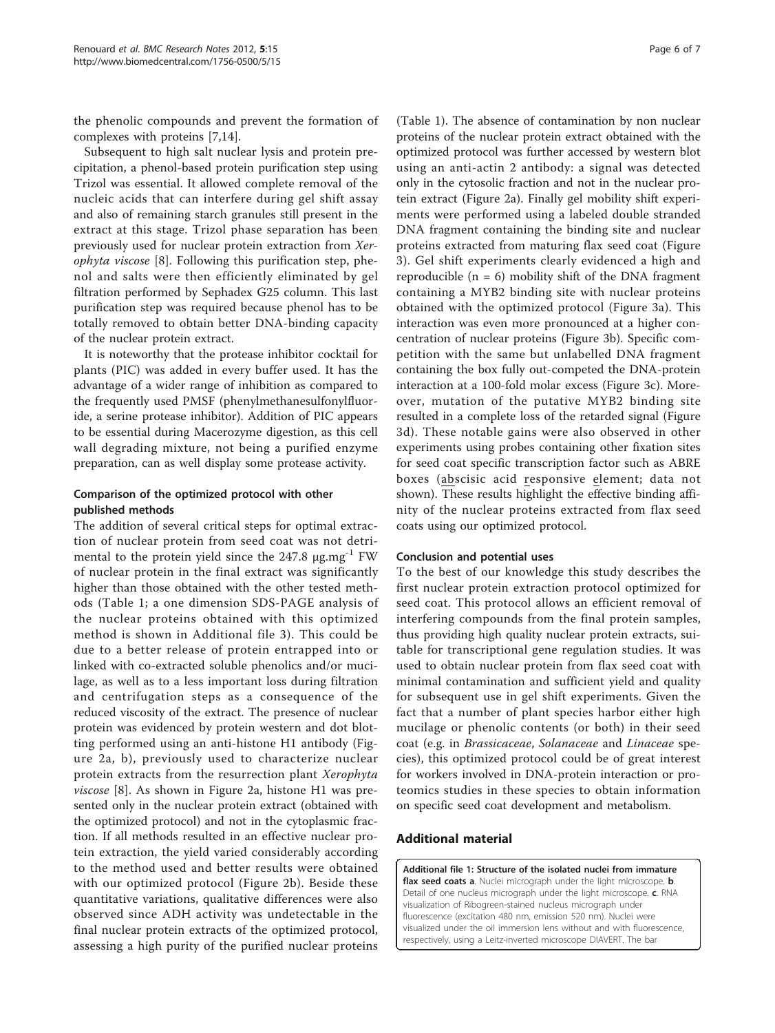<span id="page-5-0"></span>the phenolic compounds and prevent the formation of complexes with proteins [\[7,14\]](#page-6-0).

Subsequent to high salt nuclear lysis and protein precipitation, a phenol-based protein purification step using Trizol was essential. It allowed complete removal of the nucleic acids that can interfere during gel shift assay and also of remaining starch granules still present in the extract at this stage. Trizol phase separation has been previously used for nuclear protein extraction from Xerophyta viscose [[8\]](#page-6-0). Following this purification step, phenol and salts were then efficiently eliminated by gel filtration performed by Sephadex G25 column. This last purification step was required because phenol has to be totally removed to obtain better DNA-binding capacity of the nuclear protein extract.

It is noteworthy that the protease inhibitor cocktail for plants (PIC) was added in every buffer used. It has the advantage of a wider range of inhibition as compared to the frequently used PMSF (phenylmethanesulfonylfluoride, a serine protease inhibitor). Addition of PIC appears to be essential during Macerozyme digestion, as this cell wall degrading mixture, not being a purified enzyme preparation, can as well display some protease activity.

#### Comparison of the optimized protocol with other published methods

The addition of several critical steps for optimal extraction of nuclear protein from seed coat was not detrimental to the protein yield since the 247.8 μg.mg-1 FW of nuclear protein in the final extract was significantly higher than those obtained with the other tested methods (Table [1;](#page-3-0) a one dimension SDS-PAGE analysis of the nuclear proteins obtained with this optimized method is shown in Additional file [3](#page-6-0)). This could be due to a better release of protein entrapped into or linked with co-extracted soluble phenolics and/or mucilage, as well as to a less important loss during filtration and centrifugation steps as a consequence of the reduced viscosity of the extract. The presence of nuclear protein was evidenced by protein western and dot blotting performed using an anti-histone H1 antibody (Figure [2a, b\)](#page-3-0), previously used to characterize nuclear protein extracts from the resurrection plant Xerophyta viscose [[8\]](#page-6-0). As shown in Figure [2a,](#page-3-0) histone H1 was presented only in the nuclear protein extract (obtained with the optimized protocol) and not in the cytoplasmic fraction. If all methods resulted in an effective nuclear protein extraction, the yield varied considerably according to the method used and better results were obtained with our optimized protocol (Figure [2b](#page-3-0)). Beside these quantitative variations, qualitative differences were also observed since ADH activity was undetectable in the final nuclear protein extracts of the optimized protocol, assessing a high purity of the purified nuclear proteins

(Table [1](#page-3-0)). The absence of contamination by non nuclear proteins of the nuclear protein extract obtained with the optimized protocol was further accessed by western blot using an anti-actin 2 antibody: a signal was detected only in the cytosolic fraction and not in the nuclear protein extract (Figure [2a](#page-3-0)). Finally gel mobility shift experiments were performed using a labeled double stranded DNA fragment containing the binding site and nuclear proteins extracted from maturing flax seed coat (Figure [3\)](#page-4-0). Gel shift experiments clearly evidenced a high and reproducible  $(n = 6)$  mobility shift of the DNA fragment containing a MYB2 binding site with nuclear proteins obtained with the optimized protocol (Figure [3a\)](#page-4-0). This interaction was even more pronounced at a higher concentration of nuclear proteins (Figure [3b\)](#page-4-0). Specific competition with the same but unlabelled DNA fragment containing the box fully out-competed the DNA-protein interaction at a 100-fold molar excess (Figure [3c](#page-4-0)). Moreover, mutation of the putative MYB2 binding site resulted in a complete loss of the retarded signal (Figure [3d](#page-4-0)). These notable gains were also observed in other experiments using probes containing other fixation sites for seed coat specific transcription factor such as ABRE boxes (abscisic acid responsive element; data not shown). These results highlight the effective binding affinity of the nuclear proteins extracted from flax seed coats using our optimized protocol.

#### Conclusion and potential uses

To the best of our knowledge this study describes the first nuclear protein extraction protocol optimized for seed coat. This protocol allows an efficient removal of interfering compounds from the final protein samples, thus providing high quality nuclear protein extracts, suitable for transcriptional gene regulation studies. It was used to obtain nuclear protein from flax seed coat with minimal contamination and sufficient yield and quality for subsequent use in gel shift experiments. Given the fact that a number of plant species harbor either high mucilage or phenolic contents (or both) in their seed coat (e.g. in Brassicaceae, Solanaceae and Linaceae species), this optimized protocol could be of great interest for workers involved in DNA-protein interaction or proteomics studies in these species to obtain information on specific seed coat development and metabolism.

#### Additional material

[Additional file 1: S](http://www.biomedcentral.com/content/supplementary/1756-0500-5-15-S1.PPT)tructure of the isolated nuclei from immature flax seed coats a. Nuclei micrograph under the light microscope. b. Detail of one nucleus micrograph under the light microscope. c. RNA visualization of Ribogreen-stained nucleus micrograph under fluorescence (excitation 480 nm, emission 520 nm). Nuclei were visualized under the oil immersion lens without and with fluorescence, respectively, using a Leitz-inverted microscope DIAVERT. The bar